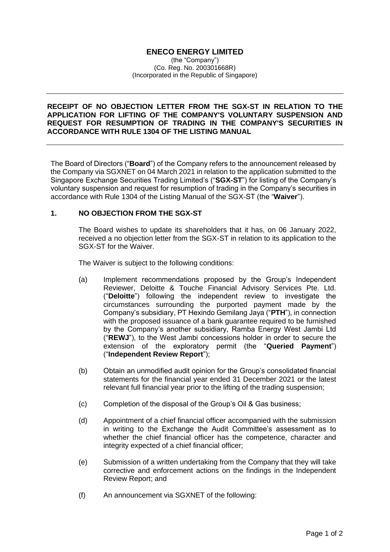# **ENECO ENERGY LIMITED**

(the "Company") (Co. Reg. No. 200301668R) (Incorporated in the Republic of Singapore)

## **RECEIPT OF NO OBJECTION LETTER FROM THE SGX-ST IN RELATION TO THE APPLICATION FOR LIFTING OF THE COMPANY'S VOLUNTARY SUSPENSION AND REQUEST FOR RESUMPTION OF TRADING IN THE COMPANY'S SECURITIES IN ACCORDANCE WITH RULE 1304 OF THE LISTING MANUAL**

The Board of Directors ("**Board**") of the Company refers to the announcement released by the Company via SGXNET on 04 March 2021 in relation to the application submitted to the Singapore Exchange Securities Trading Limited's ("**SGX-ST**") for listing of the Company's voluntary suspension and request for resumption of trading in the Company's securities in accordance with Rule 1304 of the Listing Manual of the SGX-ST (the "**Waiver**").

## **1. NO OBJECTION FROM THE SGX-ST**

The Board wishes to update its shareholders that it has, on 06 January 2022, received a no objection letter from the SGX-ST in relation to its application to the SGX-ST for the Waiver.

The Waiver is subject to the following conditions:

- (a) Implement recommendations proposed by the Group's Independent Reviewer, Deloitte & Touche Financial Advisory Services Pte. Ltd. ("**Deloitte**") following the independent review to investigate the circumstances surrounding the purported payment made by the Company's subsidiary, PT Hexindo Gemilang Jaya ("**PTH**"), in connection with the proposed issuance of a bank guarantee required to be furnished by the Company's another subsidiary, Ramba Energy West Jambi Ltd ("**REWJ**"), to the West Jambi concessions holder in order to secure the extension of the exploratory permit (the "**Queried Payment**") ("**Independent Review Report**");
- (b) Obtain an unmodified audit opinion for the Group's consolidated financial statements for the financial year ended 31 December 2021 or the latest relevant full financial year prior to the lifting of the trading suspension;
- (c) Completion of the disposal of the Group's Oil & Gas business;
- (d) Appointment of a chief financial officer accompanied with the submission in writing to the Exchange the Audit Committee's assessment as to whether the chief financial officer has the competence, character and integrity expected of a chief financial officer;
- (e) Submission of a written undertaking from the Company that they will take corrective and enforcement actions on the findings in the Independent Review Report; and
- (f) An announcement via SGXNET of the following: